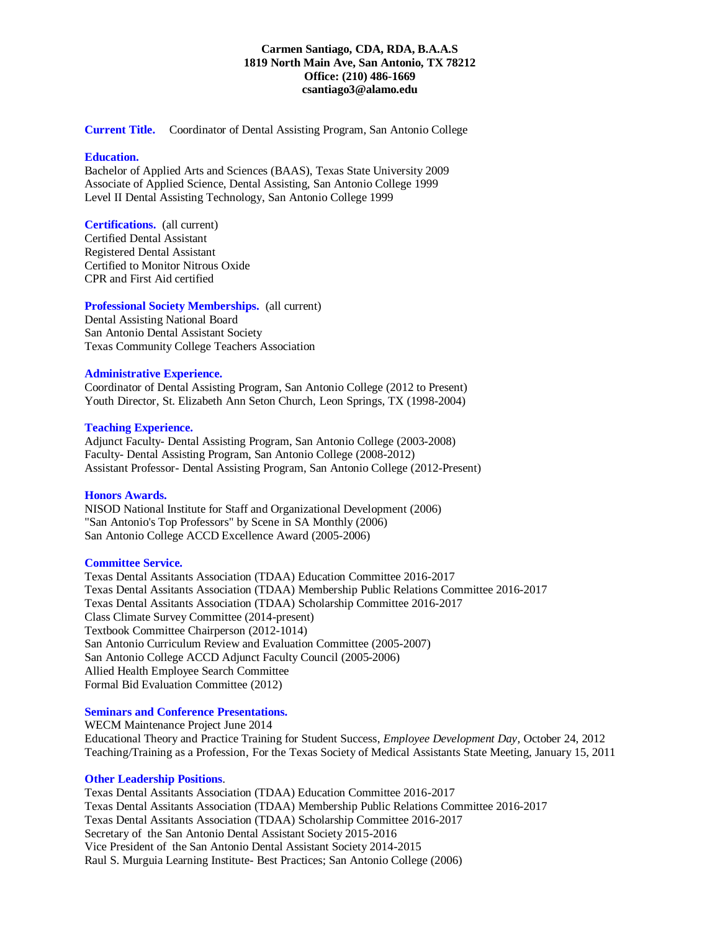## **Carmen Santiago, CDA, RDA, B.A.A.S 1819 North Main Ave, San Antonio, TX 78212 Office: (210) 486-1669 csantiago3@alamo.edu**

**Current Title.** Coordinator of Dental Assisting Program, San Antonio College

#### **Education.**

Bachelor of Applied Arts and Sciences (BAAS), Texas State University 2009 Associate of Applied Science, Dental Assisting, San Antonio College 1999 Level II Dental Assisting Technology, San Antonio College 1999

**Certifications.** (all current) Certified Dental Assistant Registered Dental Assistant Certified to Monitor Nitrous Oxide CPR and First Aid certified

**Professional Society Memberships.** (all current)

Dental Assisting National Board San Antonio Dental Assistant Society Texas Community College Teachers Association

## **Administrative Experience.**

Coordinator of Dental Assisting Program, San Antonio College (2012 to Present) Youth Director, St. Elizabeth Ann Seton Church, Leon Springs, TX (1998-2004)

#### **Teaching Experience.**

Adjunct Faculty- Dental Assisting Program, San Antonio College (2003-2008) Faculty- Dental Assisting Program, San Antonio College (2008-2012) Assistant Professor- Dental Assisting Program, San Antonio College (2012-Present)

### **Honors Awards.**

NISOD National Institute for Staff and Organizational Development (2006) "San Antonio's Top Professors" by Scene in SA Monthly (2006) San Antonio College ACCD Excellence Award (2005-2006)

## **Committee Service.**

Texas Dental Assitants Association (TDAA) Education Committee 2016-2017 Texas Dental Assitants Association (TDAA) Membership Public Relations Committee 2016-2017 Texas Dental Assitants Association (TDAA) Scholarship Committee 2016-2017 Class Climate Survey Committee (2014-present) Textbook Committee Chairperson (2012-1014) San Antonio Curriculum Review and Evaluation Committee (2005-2007) San Antonio College ACCD Adjunct Faculty Council (2005-2006) Allied Health Employee Search Committee Formal Bid Evaluation Committee (2012)

## **Seminars and Conference Presentations.**

WECM Maintenance Project June 2014 Educational Theory and Practice Training for Student Success, *Employee Development Day,* October 24, 2012 Teaching/Training as a Profession, For the Texas Society of Medical Assistants State Meeting, January 15, 2011

#### **Other Leadership Positions**.

Texas Dental Assitants Association (TDAA) Education Committee 2016-2017 Texas Dental Assitants Association (TDAA) Membership Public Relations Committee 2016-2017 Texas Dental Assitants Association (TDAA) Scholarship Committee 2016-2017 Secretary of the San Antonio Dental Assistant Society 2015-2016 Vice President of the San Antonio Dental Assistant Society 2014-2015 Raul S. Murguia Learning Institute- Best Practices; San Antonio College (2006)